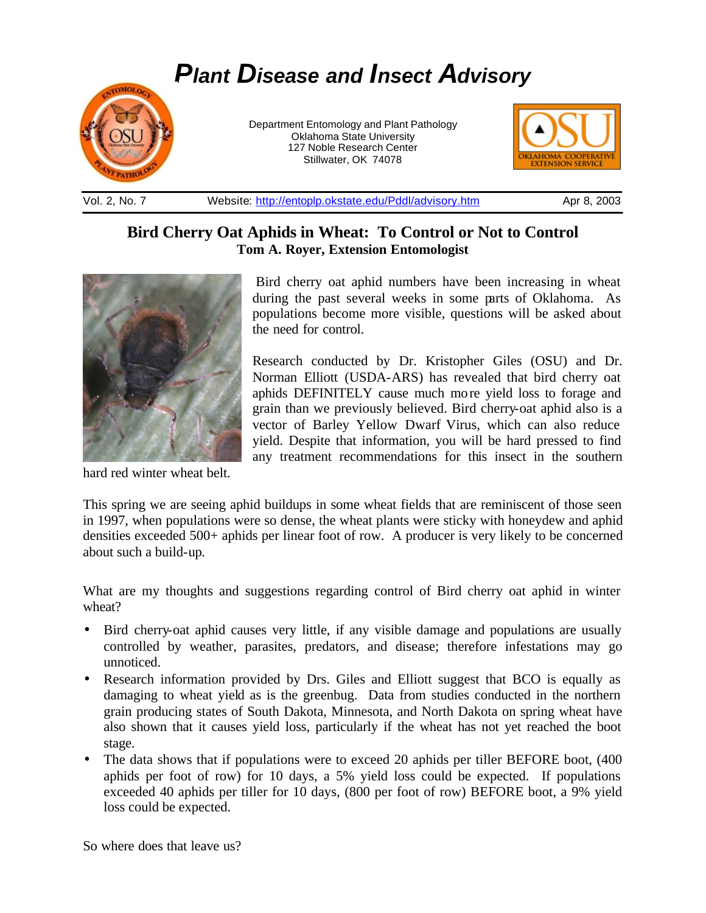# *Plant Disease and Insect Advisory*



Department Entomology and Plant Pathology Oklahoma State University 127 Noble Research Center Stillwater, OK 74078



Vol. 2, No. 7 Website: http://entoplp.okstate.edu/Pddl/advisory.htm Apr 8, 2003

## **Bird Cherry Oat Aphids in Wheat: To Control or Not to Control Tom A. Royer, Extension Entomologist**



hard red winter wheat belt.

Bird cherry oat aphid numbers have been increasing in wheat during the past several weeks in some parts of Oklahoma. As populations become more visible, questions will be asked about the need for control.

Research conducted by Dr. Kristopher Giles (OSU) and Dr. Norman Elliott (USDA-ARS) has revealed that bird cherry oat aphids DEFINITELY cause much more yield loss to forage and grain than we previously believed. Bird cherry-oat aphid also is a vector of Barley Yellow Dwarf Virus, which can also reduce yield. Despite that information, you will be hard pressed to find any treatment recommendations for this insect in the southern

This spring we are seeing aphid buildups in some wheat fields that are reminiscent of those seen in 1997, when populations were so dense, the wheat plants were sticky with honeydew and aphid densities exceeded 500+ aphids per linear foot of row. A producer is very likely to be concerned about such a build-up.

What are my thoughts and suggestions regarding control of Bird cherry oat aphid in winter wheat?

- Bird cherry-oat aphid causes very little, if any visible damage and populations are usually controlled by weather, parasites, predators, and disease; therefore infestations may go unnoticed.
- Research information provided by Drs. Giles and Elliott suggest that BCO is equally as damaging to wheat yield as is the greenbug. Data from studies conducted in the northern grain producing states of South Dakota, Minnesota, and North Dakota on spring wheat have also shown that it causes yield loss, particularly if the wheat has not yet reached the boot stage.
- The data shows that if populations were to exceed 20 aphids per tiller BEFORE boot, (400) aphids per foot of row) for 10 days, a 5% yield loss could be expected. If populations exceeded 40 aphids per tiller for 10 days, (800 per foot of row) BEFORE boot, a 9% yield loss could be expected.

So where does that leave us?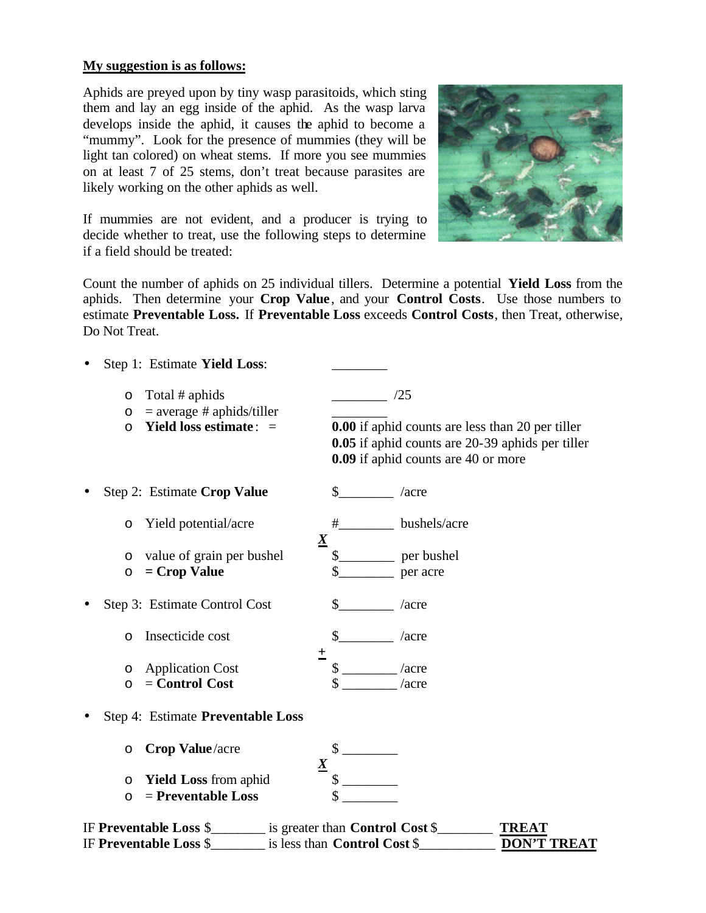#### **My suggestion is as follows:**

Aphids are preyed upon by tiny wasp parasitoids, which sting them and lay an egg inside of the aphid. As the wasp larva develops inside the aphid, it causes the aphid to become a "mummy". Look for the presence of mummies (they will be light tan colored) on wheat stems. If more you see mummies on at least 7 of 25 stems, don't treat because parasites are likely working on the other aphids as well.



If mummies are not evident, and a producer is trying to decide whether to treat, use the following steps to determine if a field should be treated:

Count the number of aphids on 25 individual tillers. Determine a potential **Yield Loss** from the aphids. Then determine your **Crop Value**, and your **Control Costs**. Use those numbers to estimate **Preventable Loss.** If **Preventable Loss** exceeds **Control Costs**, then Treat, otherwise, Do Not Treat.

| $\bullet$ | Step 1: Estimate Yield Loss:                                                                         |                 |                                        |                                                                                                                                                           |
|-----------|------------------------------------------------------------------------------------------------------|-----------------|----------------------------------------|-----------------------------------------------------------------------------------------------------------------------------------------------------------|
|           | Total # aphids<br>O<br>$=$ average # aphids/tiller<br>$\circ$<br>Yield loss estimate: $=$<br>$\circ$ |                 |                                        | /25<br><b>0.00</b> if aphid counts are less than 20 per tiller<br>0.05 if aphid counts are 20-39 aphids per tiller<br>0.09 if aphid counts are 40 or more |
|           | Step 2: Estimate Crop Value                                                                          |                 | $\mathbb{S}$                           | $/$ acre                                                                                                                                                  |
|           | Yield potential/acre<br>$\circ$                                                                      |                 | #                                      | bushels/acre                                                                                                                                              |
|           | value of grain per bushel<br>$\circ$<br>$=$ Crop Value<br>$\circ$                                    | $\underline{X}$ |                                        | per bushel<br>per acre                                                                                                                                    |
|           | Step 3: Estimate Control Cost                                                                        |                 |                                        | $/$ acre                                                                                                                                                  |
|           | Insecticide cost<br>$\circ$                                                                          |                 |                                        | $/$ acre                                                                                                                                                  |
|           | <b>Application Cost</b><br>$\circ$<br>$=$ Control Cost<br>O                                          | 土               |                                        | $/$ acre<br>/acre                                                                                                                                         |
| $\bullet$ | Step 4: Estimate Preventable Loss                                                                    |                 |                                        |                                                                                                                                                           |
|           | Crop Value/acre<br>$\circ$                                                                           | $\underline{X}$ |                                        |                                                                                                                                                           |
|           | <b>Yield Loss from aphid</b><br>$\circ$<br>$=$ Preventable Loss<br>$\circ$                           |                 |                                        |                                                                                                                                                           |
|           | IF Preventable Loss \$                                                                               |                 | is greater than <b>Control Cost</b> \$ | <b>TREAT</b>                                                                                                                                              |

IF **Preventable Loss** \$\_\_\_\_\_\_\_\_ is less than **Control Cost** \$\_\_\_\_\_\_\_\_\_\_\_ **DON'T TREAT**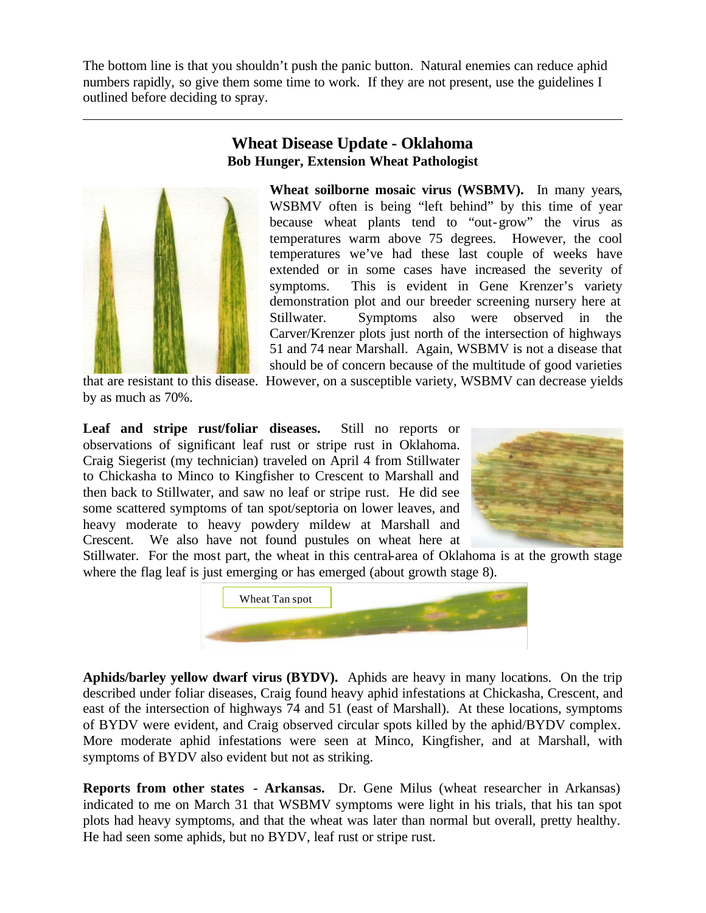The bottom line is that you shouldn't push the panic button. Natural enemies can reduce aphid numbers rapidly, so give them some time to work. If they are not present, use the guidelines I outlined before deciding to spray.



### **Wheat Disease Update - Oklahoma Bob Hunger, Extension Wheat Pathologist**

**Wheat soilborne mosaic virus (WSBMV).** In many years, WSBMV often is being "left behind" by this time of year because wheat plants tend to "out-grow" the virus as temperatures warm above 75 degrees. However, the cool temperatures we've had these last couple of weeks have extended or in some cases have increased the severity of symptoms. This is evident in Gene Krenzer's variety demonstration plot and our breeder screening nursery here at Stillwater. Symptoms also were observed in the Carver/Krenzer plots just north of the intersection of highways 51 and 74 near Marshall. Again, WSBMV is not a disease that should be of concern because of the multitude of good varieties

that are resistant to this disease. However, on a susceptible variety, WSBMV can decrease yields by as much as 70%.

**Leaf and stripe rust/foliar diseases.** Still no reports or observations of significant leaf rust or stripe rust in Oklahoma. Craig Siegerist (my technician) traveled on April 4 from Stillwater to Chickasha to Minco to Kingfisher to Crescent to Marshall and then back to Stillwater, and saw no leaf or stripe rust. He did see some scattered symptoms of tan spot/septoria on lower leaves, and heavy moderate to heavy powdery mildew at Marshall and Crescent. We also have not found pustules on wheat here at



Stillwater. For the most part, the wheat in this central-area of Oklahoma is at the growth stage where the flag leaf is just emerging or has emerged (about growth stage 8).



**Aphids/barley yellow dwarf virus (BYDV).** Aphids are heavy in many locations. On the trip described under foliar diseases, Craig found heavy aphid infestations at Chickasha, Crescent, and east of the intersection of highways 74 and 51 (east of Marshall). At these locations, symptoms of BYDV were evident, and Craig observed circular spots killed by the aphid/BYDV complex. More moderate aphid infestations were seen at Minco, Kingfisher, and at Marshall, with symptoms of BYDV also evident but not as striking.

**Reports from other states - Arkansas.** Dr. Gene Milus (wheat researcher in Arkansas) indicated to me on March 31 that WSBMV symptoms were light in his trials, that his tan spot plots had heavy symptoms, and that the wheat was later than normal but overall, pretty healthy. He had seen some aphids, but no BYDV, leaf rust or stripe rust.